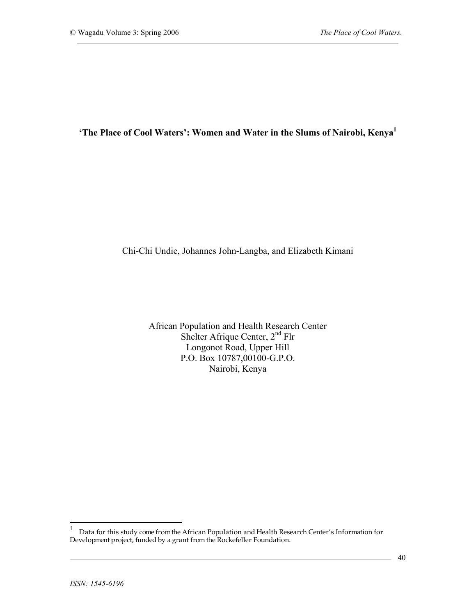'The Place of Cool Waters': Women and Water in the Slums of Nairobi, Kenya<sup>1</sup>

Chi-Chi Undie, Johannes John-Langba, and Elizabeth Kimani

African Population and Health Research Center Shelter Afrique Center, 2<sup>nd</sup> Flr Longonot Road, Upper Hill P.O. Box 10787,00100-G.P.O. Nairobi, Kenya

 $1$  Data for this study come from the African Population and Health Research Center's Information for Development project, funded by a grant from the Rockefeller Foundation.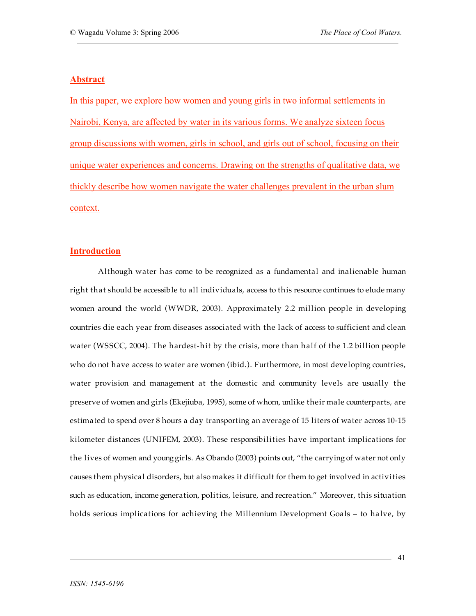#### **Abstract**

In this paper, we explore how women and young girls in two informal settlements in Nairobi, Kenya, are affected by water in its various forms. We analyze sixteen focus group discussions with women, girls in school, and girls out of school, focusing on their unique water experiences and concerns. Drawing on the strengths of qualitative data, we thickly describe how women navigate the water challenges prevalent in the urban slum context.

### **Introduction**

Although water has come to be recognized as a fundamental and inalienable human right that should be accessible to all individuals, access to this resource continues to elude many women around the world (WWDR, 2003). Approximately 2.2 million people in developing countries die each year from diseases associated with the lack of access to sufficient and clean water (WSSCC, 2004). The hardest-hit by the crisis, more than half of the 1.2 billion people who do not have access to water are women (ibid.). Furthermore, in most developing countries, water provision and management at the domestic and community levels are usually the preserve of women and girls (Ekejiuba, 1995), some of whom, unlike their male counterparts, are estimated to spend over 8 hours a day transporting an average of 15 liters of water across 10-15 kilometer distances (UNIFEM, 2003). These responsibilities have important implications for the lives of women and young girls. As Obando (2003) points out, "the carrying of water not only causes them physical disorders, but also makes it difficult for them to get involved in activities such as education, income generation, politics, leisure, and recreation." Moreover, this situation holds serious implications for achieving the Millennium Development Goals – to halve, by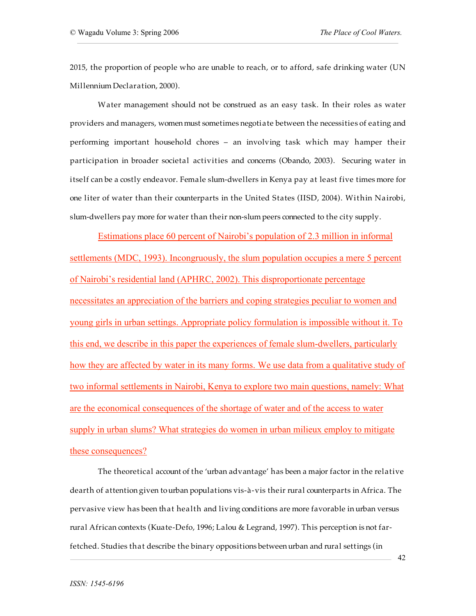2015, the proportion of people who are unable to reach, or to afford, safe drinking water (UN Millennium Declaration, 2000).

Water management should not be construed as an easy task. In their roles as water providers and managers, women must sometimes negotiate between the necessities of eating and performing important household chores – an involving task which may hamper their participation in broader societal activities and concerns (Obando, 2003). Securing water in itself can be a costly endeavor. Female slum-dwellers in Kenya pay at least five times more for one liter of water than their counterparts in the United States (IISD, 2004). Within Nairobi, slum-dwellers pay more for water than their non-slum peers connected to the city supply.

Estimations place 60 percent of Nairobi's population of 2.3 million in informal settlements (MDC, 1993). Incongruously, the slum population occupies a mere 5 percent of Nairobi's residential land (APHRC, 2002). This disproportionate percentage necessitates an appreciation of the barriers and coping strategies peculiar to women and young girls in urban settings. Appropriate policy formulation is impossible without it. To this end, we describe in this paper the experiences of female slum-dwellers, particularly how they are affected by water in its many forms. We use data from a qualitative study of two informal settlements in Nairobi, Kenya to explore two main questions, namely: What are the economical consequences of the shortage of water and of the access to water supply in urban slums? What strategies do women in urban milieux employ to mitigate these consequences?

The theoretical account of the 'urban advantage' has been a major factor in the relative dearth of attention given tourban populations vis-à-vis their rural counterparts in Africa. The pervasive view has been that health and living conditions are more favorable in urban versus rural African contexts (Kuate-Defo, 1996; Lalou & Legrand, 1997). This perception is not farfetched. Studies that describe the binary oppositions betweenurban and rural settings (in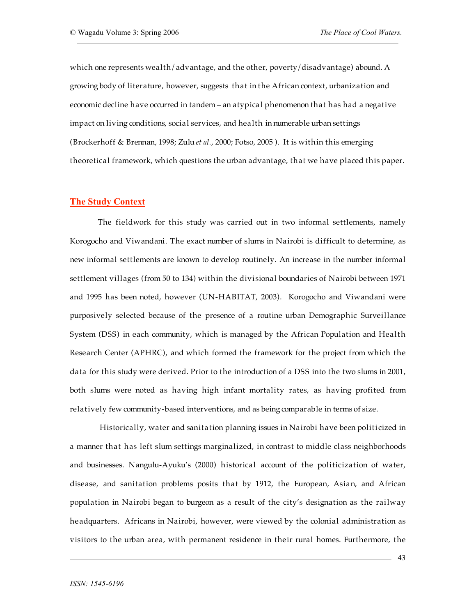which one represents wealth/advantage, and the other, poverty/disadvantage) abound. A growing body of literature, however, suggests that in the African context, urbanization and economic decline have occurred in tandem – an atypical phenomenon that has had a negative impact on living conditions, social services, and health in numerable urban settings (Brockerhoff & Brennan, 1998; Zulu *et al.*, 2000; Fotso, 2005 ). It is within this emerging theoretical framework, which questions the urban advantage, that we have placed this paper.

#### **The Study Context**

The fieldwork for this study was carried out in two informal settlements, namely Korogocho and Viwandani. The exact number of slums in Nairobi is difficult to determine, as new informal settlements are known to develop routinely. An increase in the number informal settlement villages (from 50 to 134) within the divisional boundaries of Nairobi between 1971 and 1995 has been noted, however (UN-HABITAT, 2003). Korogocho and Viwandani were purposively selected because of the presence of a routine urban Demographic Surveillance System (DSS) in each community, which is managed by the African Population and Health Research Center (APHRC), and which formed the framework for the project from which the data for this study were derived. Prior to the introduction of a DSS into the two slums in 2001, both slums were noted as having high infant mortality rates, as having profited from relatively few community-based interventions, and as being comparable in terms of size.

Historically, water and sanitation planning issues in Nairobi have been politicized in a manner that has left slum settings marginalized, in contrast to middle class neighborhoods and businesses. Nangulu-Ayuku's (2000) historical account of the politicization of water, disease, and sanitation problems posits that by 1912, the European, Asian, and African population in Nairobi began to burgeon as a result of the city's designation as the railway headquarters. Africans in Nairobi, however, were viewed by the colonial administration as visitors to the urban area, with permanent residence in their rural homes. Furthermore, the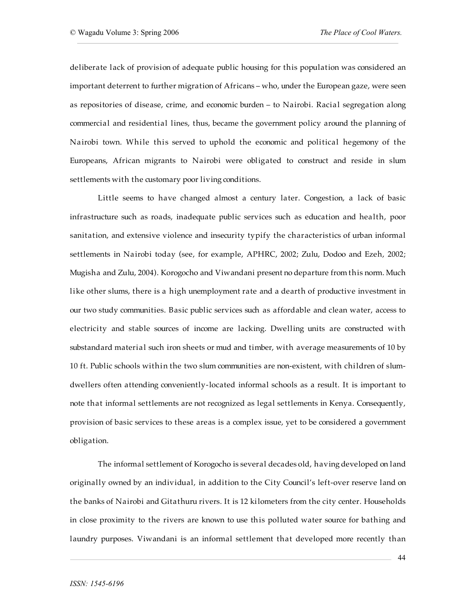deliberate lack of provision of adequate public housing for this population was considered an important deterrent to further migration of Africans – who, under the European gaze, were seen as repositories of disease, crime, and economic burden – to Nairobi. Racial segregation along commercial and residential lines, thus, became the government policy around the planning of Nairobi town. While this served to uphold the economic and political hegemony of the Europeans, African migrants to Nairobi were obligated to construct and reside in slum settlements with the customary poor living conditions.

Little seems to have changed almost a century later. Congestion, a lack of basic infrastructure such as roads, inadequate public services such as education and health, poor sanitation, and extensive violence and insecurity typify the characteristics of urban informal settlements in Nairobi today (see, for example, APHRC, 2002; Zulu, Dodoo and Ezeh, 2002; Mugisha and Zulu, 2004). Korogocho and Viwandani present no departure from this norm. Much like other slums, there is a high unemployment rate and a dearth of productive investment in our two study communities. Basic public services such as affordable and clean water, access to electricity and stable sources of income are lacking. Dwelling units are constructed with substandard material such iron sheets or mud and timber, with average measurements of 10 by 10 ft. Public schools within the two slum communities are non-existent, with children of slumdwellers often attending conveniently-located informal schools as a result. It is important to note that informal settlements are not recognized as legal settlements in Kenya. Consequently, provision of basic services to these areas is a complex issue, yet to be considered a government obligation.

The informal settlement of Korogocho is several decades old, having developed on land originally owned by an individual, in addition to the City Council's left-over reserve land on the banks of Nairobi and Gitathuru rivers. It is 12 kilometers from the city center. Households in close proximity to the rivers are known to use this polluted water source for bathing and laundry purposes. Viwandani is an informal settlement that developed more recently than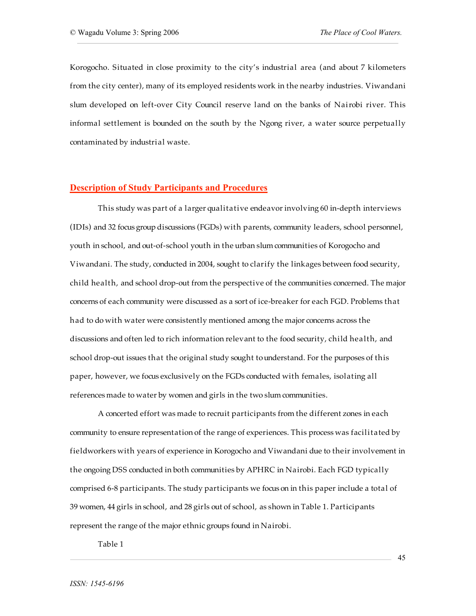Korogocho. Situated in close proximity to the city's industrial area (and about 7 kilometers from the city center), many of its employed residents work in the nearby industries. Viwandani slum developed on left-over City Council reserve land on the banks of Nairobi river. This informal settlement is bounded on the south by the Ngong river, a water source perpetually contaminated by industrial waste.

### **Description of Study Participants and Procedures**

This study was part of a larger qualitative endeavor involving 60 in-depth interviews (IDIs) and 32 focus group discussions (FGDs) with parents, community leaders, school personnel, youth in school, and out-of-school youth in the urban slum communities of Korogocho and Viwandani. The study, conducted in 2004, sought to clarify the linkages between food security, child health, and school drop-out from the perspective of the communities concerned. The major concerns of each community were discussed as a sort of ice-breaker for each FGD. Problems that had to do with water were consistently mentioned among the major concerns across the discussions and often led to rich information relevant to the food security, child health, and school drop-out issues that the original study sought tounderstand. For the purposes of this paper, however, we focus exclusively on the FGDs conducted with females, isolating all references made to water by women and girls in the two slum communities.

A concerted effort was made to recruit participants from the different zones in each community to ensure representation of the range of experiences. This process was facilitated by fieldworkers with years of experience in Korogocho and Viwandani due to their involvement in the ongoing DSS conducted in both communities by APHRC in Nairobi. Each FGD typically comprised 6-8 participants. The study participants we focus on in this paper include a total of 39 women, 44 girls in school, and 28 girls out of school, as shown in Table 1. Participants represent the range of the major ethnic groups found in Nairobi.

Table 1

45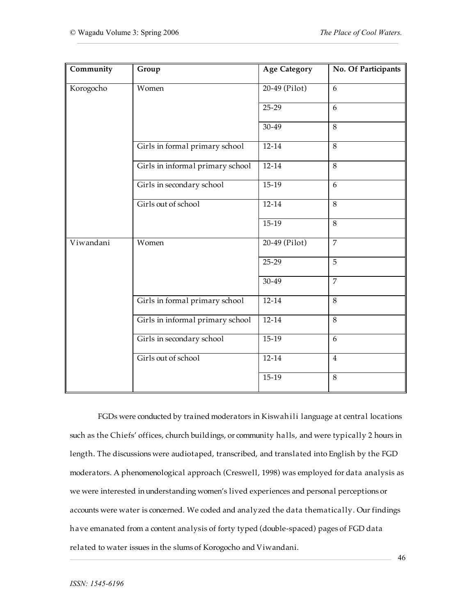| Community | Group                            | <b>Age Category</b> | No. Of Participants |
|-----------|----------------------------------|---------------------|---------------------|
| Korogocho | Women                            | 20-49 (Pilot)       | 6                   |
|           |                                  | $25-29$             | 6                   |
|           |                                  | 30-49               | 8                   |
|           | Girls in formal primary school   | $12 - 14$           | 8                   |
|           | Girls in informal primary school | $12 - 14$           | 8                   |
|           | Girls in secondary school        | $15-19$             | 6                   |
|           | Girls out of school              | $12 - 14$           | 8                   |
|           |                                  | $15-19$             | 8                   |
| Viwandani | Women                            | 20-49 (Pilot)       | $\overline{7}$      |
|           |                                  | $25-29$             | $\overline{5}$      |
|           |                                  | $30-49$             | $\overline{7}$      |
|           | Girls in formal primary school   | $12 - 14$           | $\overline{8}$      |
|           | Girls in informal primary school | $12 - 14$           | $\overline{8}$      |
|           | Girls in secondary school        | $15-19$             | 6                   |
|           | Girls out of school              | $12 - 14$           | $\overline{4}$      |
|           |                                  | $15-19$             | $\overline{8}$      |

FGDs were conducted by trained moderators in Kiswahili language at central locations such as the Chiefs' offices, church buildings, or community halls, and were typically 2 hours in length. The discussions were audiotaped, transcribed, and translated into English by the FGD moderators. A phenomenological approach (Creswell, 1998) was employed for data analysis as we were interested in understanding women's lived experiences and personal perceptions or accounts were water is concerned. We coded and analyzed the data thematically. Our findings have emanated from a content analysis of forty typed (double-spaced) pages of FGD data related to water issues in the slums of Korogocho and Viwandani.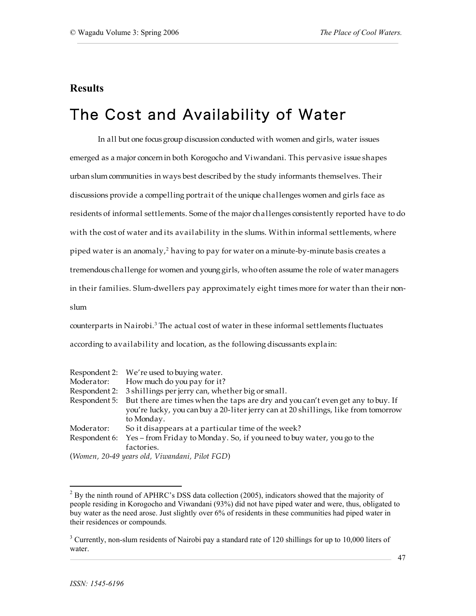### **Results**

## The Cost and Availability of Water

In all but one focus group discussion conducted with women and girls, water issues emerged as a major concernin both Korogocho and Viwandani. This pervasive issue shapes urban slum communities in ways best described by the study informants themselves. Their discussions provide a compelling portrait of the unique challenges women and girls face as residents of informal settlements. Some of the major challenges consistently reported have to do with the cost of water and its availability in the slums. Within informal settlements, where piped water is an anomaly, <sup>2</sup> having to pay for water on a minute-by-minute basis creates a tremendous challenge for women and young girls, who often assume the role of water managers in their families. Slum-dwellers pay approximately eight times more for water than their nonslum

counterparts in Nairobi. <sup>3</sup> The actual cost of water in these informal settlements fluctuates according to availability and location, as the following discussants explain:

|               | Respondent 2: We're used to buying water.                                                                                                                                                         |
|---------------|---------------------------------------------------------------------------------------------------------------------------------------------------------------------------------------------------|
| Moderator:    | How much do you pay for it?                                                                                                                                                                       |
|               | Respondent 2: 3 shillings per jerry can, whether big or small.                                                                                                                                    |
|               | Respondent 5: But there are times when the taps are dry and you can't even get any to buy. If<br>you're lucky, you can buy a 20-liter jerry can at 20 shillings, like from tomorrow<br>to Monday. |
| Moderator:    | So it disappears at a particular time of the week?                                                                                                                                                |
| Respondent 6: | Yes – from Friday to Monday. So, if you need to buy water, you go to the<br>factories.                                                                                                            |
| $\sqrt{1}$    |                                                                                                                                                                                                   |

(*Women, 20-49 years old, Viwandani, Pilot FGD*)

 $2$  By the ninth round of APHRC's DSS data collection (2005), indicators showed that the majority of people residing in Korogocho and Viwandani (93%) did not have piped water and were, thus, obligated to buy water as the need arose. Just slightly over 6% of residents in these communities had piped water in their residences or compounds.

<sup>&</sup>lt;sup>3</sup> Currently, non-slum residents of Nairobi pay a standard rate of 120 shillings for up to 10,000 liters of water.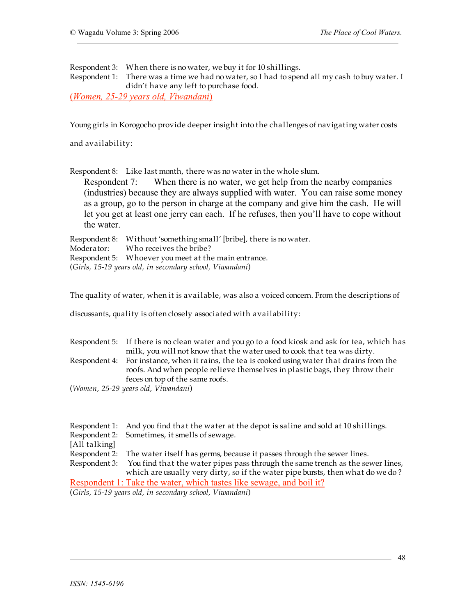Respondent 3: When there is no water, we buy it for 10 shillings.

Respondent 1: There was a time we had no water, so I had to spend all my cash to buy water. I didn't have any left to purchase food.

(*Women, 25-29 years old, Viwandani*)

Young girls in Korogocho provide deeper insight into the challenges of navigating water costs

and availability:

Respondent 8: Like last month, there was no water in the whole slum.

Respondent 7: When there is no water, we get help from the nearby companies (industries) because they are always supplied with water. You can raise some money as a group, go to the person in charge at the company and give him the cash. He will let you get at least one jerry can each. If he refuses, then you'll have to cope without the water.

Respondent 8: Without 'something small' [bribe], there is no water. Moderator: Who receives the bribe? Respondent 5: Whoever youmeet at the main entrance. (*Girls, 15-19 years old, in secondary school, Viwandani*)

The quality of water, when it is available, was also a voiced concern. From the descriptions of

discussants, quality is oftenclosely associated with availability:

| Respondent 5: If there is no clean water and you go to a food kiosk and ask for tea, which has |
|------------------------------------------------------------------------------------------------|
| milk, you will not know that the water used to cook that tea was dirty.                        |
| Respondent 4: For instance, when it rains, the tea is cooked using water that drains from the  |
| roofs. And when people relieve themselves in plastic bags, they throw their                    |
| feces on top of the same roofs.                                                                |
| (Women 25-29 years old Viwandani)                                                              |

(*Women, 25-29 years old, Viwandani*)

|               | Respondent 1: And you find that the water at the depot is saline and sold at 10 shillings.   |
|---------------|----------------------------------------------------------------------------------------------|
|               | Respondent 2: Sometimes, it smells of sewage.                                                |
| [All talking] |                                                                                              |
|               | Respondent 2: The water itself has germs, because it passes through the sewer lines.         |
|               | Respondent 3: You find that the water pipes pass through the same trench as the sewer lines, |
|               | which are usually very dirty, so if the water pipe bursts, then what do we do?               |
|               | Respondent 1: Take the water, which tastes like sewage, and boil it?                         |
|               | (Girls, 15-19 years old, in secondary school, Viwandani)                                     |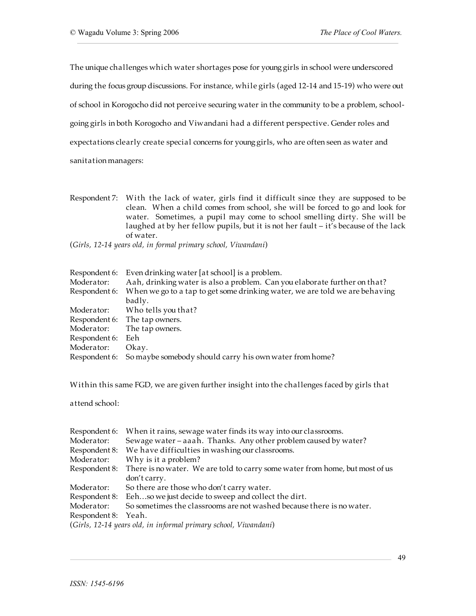The unique challenges which water shortages pose for young girls in school were underscored during the focus group discussions. For instance, while girls (aged 12-14 and 15-19) who were out of school in Korogocho did not perceive securing water in the community to be a problem, schoolgoing girls in both Korogocho and Viwandani had a different perspective. Gender roles and expectations clearly create special concerns for younggirls, who are often seen as water and sanitation managers:

Respondent 7: With the lack of water, girls find it difficult since they are supposed to be clean. When a child comes from school, she will be forced to go and look for water. Sometimes, a pupil may come to school smelling dirty. She will be laughed at by her fellow pupils, but it is not her fault – it's because of the lack of water.

(*Girls, 12-14 years old, in formal primary school, Viwandani*)

| Respondent 6: | Even drinking water [at school] is a problem.                               |
|---------------|-----------------------------------------------------------------------------|
| Moderator:    | Aah, drinking water is also a problem. Can you elaborate further on that?   |
| Respondent 6: | When we go to a tap to get some drinking water, we are told we are behaving |
|               | badly.                                                                      |
| Moderator:    | Who tells you that?                                                         |
|               | Respondent 6: The tap owners.                                               |
| Moderator:    | The tap owners.                                                             |
| Respondent 6: | Eeh                                                                         |
| Moderator:    | Okay.                                                                       |
|               | Respondent 6: So maybe somebody should carry his own water from home?       |

Within this same FGD, we are given further insight into the challenges faced by girls that

attend school:

| Respondent 6:       | When it rains, sewage water finds its way into our classrooms.               |
|---------------------|------------------------------------------------------------------------------|
| Moderator:          | Sewage water - aaah. Thanks. Any other problem caused by water?              |
| Respondent 8:       | We have difficulties in washing our classrooms.                              |
| Moderator:          | Why is it a problem?                                                         |
| Respondent 8:       | There is no water. We are told to carry some water from home, but most of us |
|                     | don't carry.                                                                 |
| Moderator:          | So there are those who don't carry water.                                    |
|                     | Respondent 8: Eehso we just decide to sweep and collect the dirt.            |
| Moderator:          | So sometimes the classrooms are not washed because there is no water.        |
| Respondent 8: Yeah. |                                                                              |
|                     | (Girls, 12-14 years old, in informal primary school, Viwandani)              |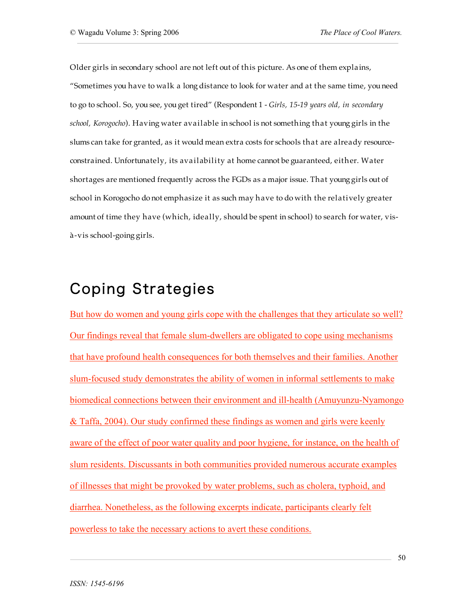Older girls in secondary school are not left out of this picture. As one of them explains, "Sometimes you have to walk a long distance to look for water and at the same time, youneed to go to school. So, you see, you get tired" (Respondent 1 - *Girls, 15-19 years old, in secondary school, Korogocho*). Having water available in school is not something that young girls in the slums can take for granted, as it would mean extra costs for schools that are already resourceconstrained. Unfortunately, its availability at home cannot be guaranteed, either. Water shortages are mentioned frequently across the FGDs as a major issue. That younggirls out of school in Korogocho do not emphasize it as such may have to do with the relatively greater amount of time they have (which, ideally, should be spent in school) to search for water, visà-vis school-going girls.

# Coping Strategies

But how do women and young girls cope with the challenges that they articulate so well? Our findings reveal that female slum-dwellers are obligated to cope using mechanisms that have profound health consequences for both themselves and their families. Another slum-focused study demonstrates the ability of women in informal settlements to make biomedical connections between their environment and ill-health (Amuyunzu-Nyamongo & Taffa, 2004). Our study confirmed these findings as women and girls were keenly aware of the effect of poor water quality and poor hygiene, for instance, on the health of slum residents. Discussants in both communities provided numerous accurate examples of illnesses that might be provoked by water problems, such as cholera, typhoid, and diarrhea. Nonetheless, as the following excerpts indicate, participants clearly felt powerless to take the necessary actions to avert these conditions.

50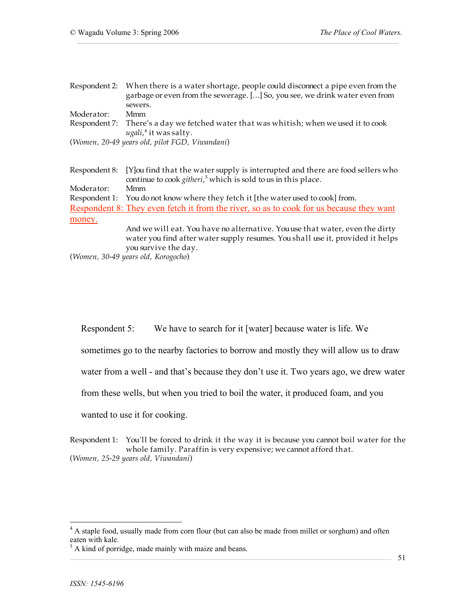|            | Respondent 2: When there is a water shortage, people could disconnect a pipe even from the<br>garbage or even from the sewerage. [] So, you see, we drink water even from<br>sewers.   |
|------------|----------------------------------------------------------------------------------------------------------------------------------------------------------------------------------------|
| Moderator: | Mmm                                                                                                                                                                                    |
|            | Respondent 7: There's a day we fetched water that was whitish; when we used it to cook<br>$ugali, 4$ it was salty.                                                                     |
|            | (Women, 20-49 years old, pilot FGD, Viwandani)                                                                                                                                         |
|            | Respondent 8: [Y] ou find that the water supply is interrupted and there are food sellers who<br>continue to cook githeri, <sup>5</sup> which is sold to us in this place.             |
| Moderator: | Mmm                                                                                                                                                                                    |
|            | Respondent 1: You do not know where they fetch it [the water used to cook] from.                                                                                                       |
|            | Respondent 8: They even fetch it from the river, so as to cook for us because they want                                                                                                |
| money.     |                                                                                                                                                                                        |
|            | And we will eat. You have no alternative. You use that water, even the dirty<br>water you find after water supply resumes. You shall use it, provided it helps<br>you survive the day. |
|            | (Women, 30-49 years old, Korogocho)                                                                                                                                                    |

Respondent 5: We have to search for it [water] because water is life. We

sometimes go to the nearby factories to borrow and mostly they will allow us to draw

water from a well - and that's because they don't use it. Two years ago, we drew water

from these wells, but when you tried to boil the water, it produced foam, and you

wanted to use it for cooking.

Respondent 1: You'll be forced to drink it the way it is because you cannot boil water for the whole family. Paraffin is very expensive; we cannot afford that. (*Women, 25-29 years old, Viwandani*)

<sup>&</sup>lt;sup>4</sup> A staple food, usually made from corn flour (but can also be made from millet or sorghum) and often eaten with kale.<br><sup>5</sup> A kind of porridge, made mainly with maize and beans.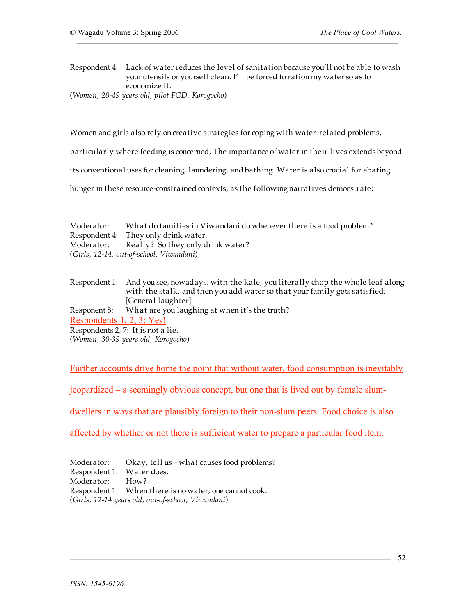Respondent 4: Lack of water reduces the level of sanitation because you'll not be able to wash your utensils or yourself clean. I'll be forced to ration my water so as to economize it.

(*Women, 20-49 years old, pilot FGD, Korogocho*)

Women and girls also rely on creative strategies for coping with water-related problems,

particularly where feeding is concerned. The importance of water in their lives extends beyond

its conventional uses for cleaning, laundering, and bathing. Water is also crucial for abating

hunger in these resource-constrained contexts, as the following narratives demonstrate:

| Moderator: | What do families in Viwandani do whenever there is a food problem? |
|------------|--------------------------------------------------------------------|
|            | Respondent 4: They only drink water.                               |
|            | Moderator: Really? So they only drink water?                       |
|            | (Girls, 12-14, out-of-school, Viwandani)                           |

|                           | Respondent 1: And you see, nowadays, with the kale, you literally chop the whole leaf along |
|---------------------------|---------------------------------------------------------------------------------------------|
|                           | with the stalk, and then you add water so that your family gets satisfied.                  |
|                           | [General laughter]                                                                          |
| Responent 8:              | What are you laughing at when it's the truth?                                               |
| Respondents 1, 2, 3: Yes! |                                                                                             |
|                           | Respondents 2, 7: It is not a lie.                                                          |
|                           | (Women, 30-39 years old, Korogocho)                                                         |

Further accounts drive home the point that without water, food consumption is inevitably

jeopardized – a seemingly obvious concept, but one that is lived out by female slum-

dwellers in ways that are plausibly foreign to their non-slum peers. Food choice is also

affected by whether or not there is sufficient water to prepare a particular food item.

Moderator: Okay, tell us – what causes food problems? Respondent 1: Water does. Moderator: How? Respondent 1: When there is no water, one cannot cook. (*Girls, 12-14 years old, out-of-school, Viwandani*)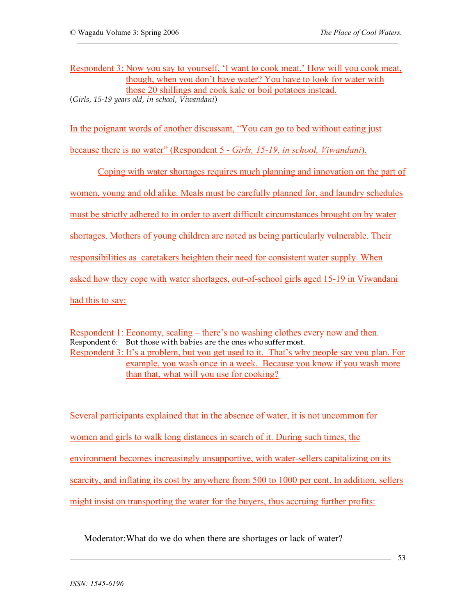Respondent 3: Now you say to yourself, 'I want to cook meat.' How will you cook meat, though, when you don't have water? You have to look for water with those 20 shillings and cook kale or boil potatoes instead. (*Girls, 15-19 years old, in school, Viwandani*)

In the poignant words of another discussant, "You can go to bed without eating just

because there is no water" (Respondent 5 - *Girls, 15-19, in school, Viwandani*).

Coping with water shortages requires much planning and innovation on the part of women, young and old alike. Meals must be carefully planned for, and laundry schedules must be strictly adhered to in order to avert difficult circumstances brought on by water shortages. Mothers of young children are noted as being particularly vulnerable. Their responsibilities as caretakers heighten their need for consistent water supply. When asked how they cope with water shortages, out-of-school girls aged 15-19 in Viwandani had this to say:

Respondent 1: Economy, scaling – there's no washing clothes every now and then. Respondent 6: But those with babies are the ones who suffer most. Respondent 3: It's a problem, but you get used to it. That's why people say you plan. For example, you wash once in a week. Because you know if you wash more than that, what will you use for cooking?

Several participants explained that in the absence of water, it is not uncommon for women and girls to walk long distances in search of it. During such times, the environment becomes increasingly unsupportive, with water-sellers capitalizing on its scarcity, and inflating its cost by anywhere from 500 to 1000 per cent. In addition, sellers might insist on transporting the water for the buyers, thus accruing further profits:

Moderator:What do we do when there are shortages or lack of water?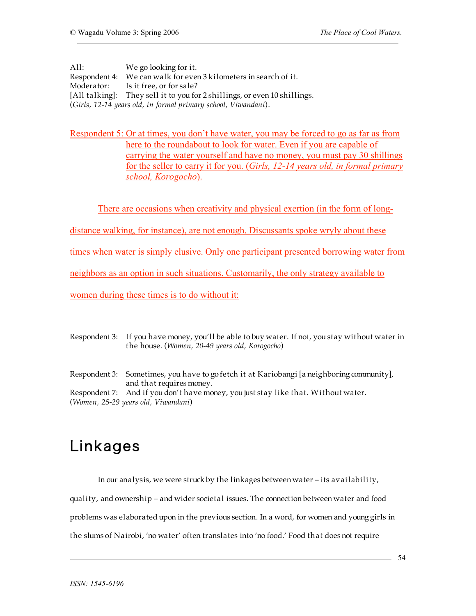All: We go looking for it. Respondent 4: We can walk for even 3 kilometers in search of it. Moderator: Is it free, or for sale? [All talking]: They sell it to you for 2 shillings, or even 10 shillings. (*Girls, 12-14 years old, in formal primary school, Viwandani*).

Respondent 5: Or at times, you don't have water, you may be forced to go as far as from here to the roundabout to look for water. Even if you are capable of carrying the water yourself and have no money, you must pay 30 shillings for the seller to carry it for you. (*Girls, 12-14 years old, in formal primary school, Korogocho*).

There are occasions when creativity and physical exertion (in the form of long-

distance walking, for instance), are not enough. Discussants spoke wryly about these

times when water is simply elusive. Only one participant presented borrowing water from

neighbors as an option in such situations. Customarily, the only strategy available to

women during these times is to do without it:

Respondent 3: If you have money, you'll be able to buy water. If not, you stay without water in the house. (*Women, 20-49 years old, Korogocho*)

Respondent 3: Sometimes, you have to go fetch it at Kariobangi [a neighboring community], and that requires money. Respondent 7: And if you don't have money, you just stay like that. Without water. (*Women, 25-29 years old, Viwandani*)

# Linkages

In our analysis, we were struck by the linkages between water – its availability,

quality, and ownership – and wider societal issues. The connection between water and food

problems was elaborated upon in the previous section. In a word, for women and young girls in

the slums of Nairobi, 'no water' often translates into 'no food.' Food that does not require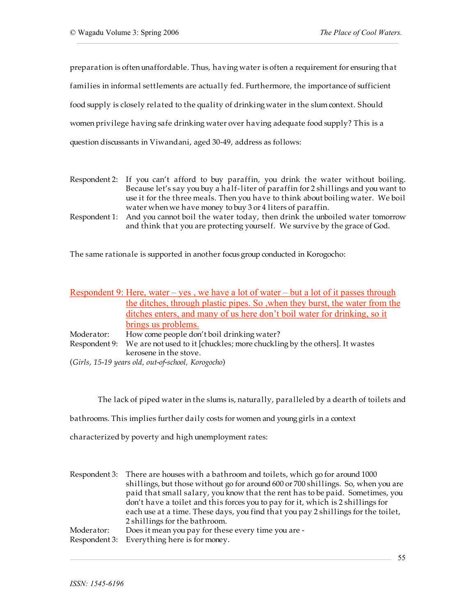preparation is oftenunaffordable. Thus, having water is often a requirement for ensuring that families in informal settlements are actually fed. Furthermore, the importance of sufficient food supply is closely related to the quality of drinking water in the slum context. Should women privilege having safe drinking water over having adequate food supply? This is a question discussants in Viwandani, aged 30-49, address as follows:

- Respondent 2: If you can't afford to buy paraffin, you drink the water without boiling. Because let's say you buy a half-liter of paraffin for 2 shillings and you want to use it for the three meals. Then you have to think about boiling water. We boil water when we have money to buy 3 or 4 liters of paraffin.
- Respondent 1: And you cannot boil the water today, then drink the unboiled water tomorrow and think that you are protecting yourself. We survive by the grace of God.

The same rationale is supported in another focus group conducted in Korogocho:

|            | Respondent 9: Here, water – yes, we have a lot of water – but a lot of it passes through |
|------------|------------------------------------------------------------------------------------------|
|            | the ditches, through plastic pipes. So, when they burst, the water from the              |
|            | ditches enters, and many of us here don't boil water for drinking, so it                 |
|            | brings us problems.                                                                      |
| Moderator: | How come people don't boil drinking water?                                               |
|            | Respondent 9: We are not used to it [chuckles; more chuckling by the others]. It wastes  |
|            | kerosene in the stove.                                                                   |
|            | (Girls, 15-19 years old, out-of-school, Korogocho)                                       |

The lack of piped water in the slums is, naturally, paralleled by a dearth of toilets and

bathrooms. This implies further daily costs for women and young girls in a context

characterized by poverty and high unemployment rates:

|            | Respondent 3: There are houses with a bathroom and toilets, which go for around 1000 |
|------------|--------------------------------------------------------------------------------------|
|            | shillings, but those without go for around 600 or 700 shillings. So, when you are    |
|            | paid that small salary, you know that the rent has to be paid. Sometimes, you        |
|            | don't have a toilet and this forces you to pay for it, which is 2 shillings for      |
|            | each use at a time. These days, you find that you pay 2 shillings for the toilet,    |
|            | 2 shillings for the bathroom.                                                        |
| Moderator: | Does it mean you pay for these every time you are -                                  |
|            | Respondent 3: Everything here is for money.                                          |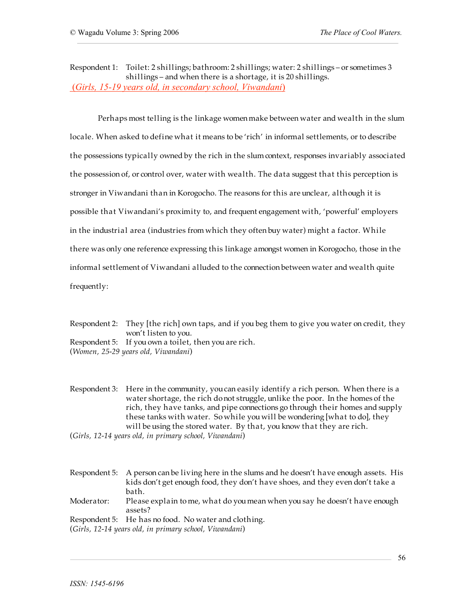Respondent 1: Toilet: 2 shillings; bathroom: 2 shillings; water: 2 shillings – or sometimes 3 shillings – and when there is a shortage, it is 20 shillings. (*Girls, 15-19 years old, in secondary school, Viwandani*)

Perhaps most telling is the linkage womenmake between water and wealth in the slum locale. When asked to define what it means to be 'rich' in informal settlements, or to describe the possessions typically owned by the rich in the slumcontext, responses invariably associated the possession of, or control over, water with wealth. The data suggest that this perception is stronger in Viwandani than in Korogocho. The reasons for this are unclear, although it is possible that Viwandani's proximity to, and frequent engagement with, 'powerful' employers in the industrial area (industries from which they often buy water) might a factor. While there was only one reference expressing this linkage amongst women in Korogocho, those in the informal settlement of Viwandani alluded to the connection between water and wealth quite frequently:

Respondent 2: They [the rich] own taps, and if you beg them to give you water on credit, they won't listen to you.

Respondent 5: If you own a toilet, then you are rich.

(*Women, 25-29 years old, Viwandani*)

Respondent 3: Here in the community, youcan easily identify a rich person. When there is a water shortage, the rich donot struggle, unlike the poor. In the homes of the rich, they have tanks, and pipe connections go through their homes and supply these tanks with water. So while you will be wondering [what to do], they will be using the stored water. By that, you know that they are rich.

(*Girls, 12-14 years old, in primary school, Viwandani*)

Respondent 5: A person can be living here in the slums and he doesn't have enough assets. His kids don't get enough food, they don't have shoes, and they even don't take a bath. Moderator: Please explain to me, what do youmean when you say he doesn't have enough assets? Respondent 5: He has no food. No water and clothing.

(*Girls, 12-14 years old, in primary school, Viwandani*)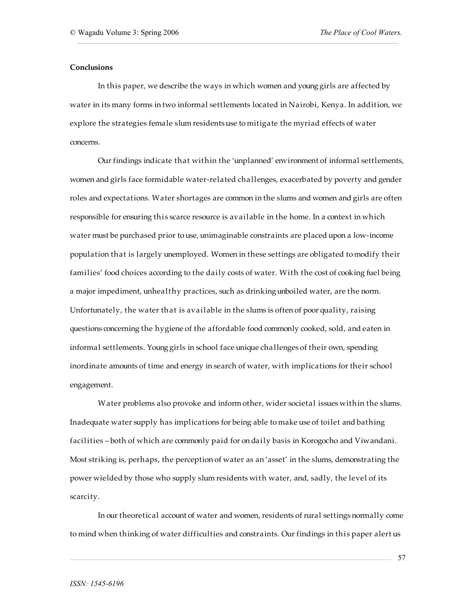#### **Conclusions**

In this paper, we describe the ways in which women and young girls are affected by water in its many forms in two informal settlements located in Nairobi, Kenya. In addition, we explore the strategies female slum residents use to mitigate the myriad effects of water concerns.

Our findings indicate that within the 'unplanned' environment of informal settlements, women and girls face formidable water-related challenges, exacerbated by poverty and gender roles and expectations. Water shortages are common in the slums and women and girls are often responsible for ensuring this scarce resource is available in the home. In a context in which water must be purchased prior to use, unimaginable constraints are placed upon a low-income population that is largely unemployed. Women in these settings are obligated tomodify their families' food choices according to the daily costs of water. With the cost of cooking fuel being a major impediment, unhealthy practices, such as drinkingunboiled water, are the norm. Unfortunately, the water that is available in the slums is often of poor quality, raising questions concerning the hygiene of the affordable food commonly cooked, sold, and eaten in informal settlements. Young girls in school face unique challenges of their own, spending inordinate amounts of time and energy in search of water, with implications for their school engagement.

Water problems also provoke and inform other, wider societal issues within the slums. Inadequate water supply has implications for being able to make use of toilet and bathing facilities – both of which are commonly paid for on daily basis in Korogocho and Viwandani. Most striking is, perhaps, the perception of water as an 'asset' in the slums, demonstrating the power wielded by those who supply slum residents with water, and, sadly, the level of its scarcity.

In our theoretical account of water and women, residents of rural settings normally come to mind when thinking of water difficulties and constraints. Our findings in this paper alert us

*ISSN: 1545-6196*

57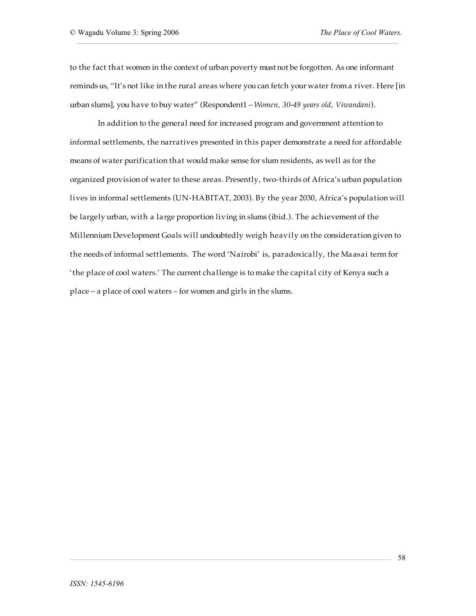to the fact that women in the context of urban poverty must not be forgotten. As one informant remindsus, "It's not like in the rural areas where youcan fetch your water from a river. Here [in urban slums], you have to buy water" (Respondent1 – *Women, 30-49 years old, Viwandani*).

In addition to the general need for increased program and government attention to informal settlements, the narratives presented in this paper demonstrate a need for affordable means of water purification that would make sense for slum residents, as well as for the organized provision of water to these areas. Presently, two-thirds of Africa's urban population lives in informal settlements (UN-HABITAT, 2003). By the year 2030, Africa's population will be largely urban, with a large proportion living in slums (ibid.). The achievement of the Millennium Development Goals will undoubtedly weigh heavily on the consideration given to the needs of informal settlements. The word 'Nairobi' is, paradoxically, the Maasai term for 'the place of cool waters.' The current challenge is to make the capital city of Kenya such a place – a place of cool waters – for women and girls in the slums.

58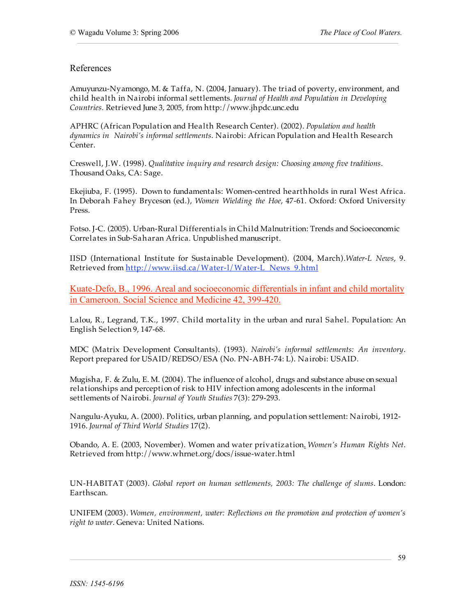### References

Amuyunzu-Nyamongo, M. & Taffa, N. (2004, January). The triad of poverty, environment, and child health in Nairobi informal settlements. *Journal of Health and Population in Developing Countries.* Retrieved June 3, 2005, from http://www.jhpdc.unc.edu

APHRC (African Population and Health Research Center). (2002). *Population and health dynamics in Nairobi's informal settlements*. Nairobi: African Population and Health Research Center.

Creswell, J.W. (1998). *Qualitative inquiry and research design: Choosing among five traditions*. Thousand Oaks, CA: Sage.

Ekejiuba, F. (1995). Down to fundamentals: Women-centred hearthholds in rural West Africa. In Deborah Fahey Bryceson (ed.), *Women Wielding the Hoe*, 47-61. Oxford: Oxford University Press.

Fotso. J-C. (2005). Urban-Rural Differentials in Child Malnutrition: Trends and Socioeconomic Correlates in Sub-Saharan Africa. Unpublished manuscript.

IISD (International Institute for Sustainable Development). (2004, March).*Water-L News*, 9. Retrieved from http://www.iisd.ca/Water-l/Water-L\_News\_9.html

Kuate-Defo, B., 1996. Areal and socioeconomic differentials in infant and child mortality in Cameroon. Social Science and Medicine 42, 399-420.

Lalou, R., Legrand, T.K., 1997. Child mortality in the urban and rural Sahel. Population: An English Selection 9, 147-68.

MDC (Matrix Development Consultants). (1993). *Nairobi's informal settlements: An inventory*. Report prepared for USAID/REDSO/ESA (No. PN-ABH-74: L). Nairobi: USAID.

Mugisha, F. & Zulu, E. M. (2004). The influence of alcohol, drugs and substance abuse on sexual relationships and perception of risk to HIV infection among adolescents in the informal settlements of Nairobi. *Journal of Youth Studies* 7(3): 279-293.

Nangulu-Ayuku, A. (2000). Politics, urban planning, and population settlement: Nairobi, 1912- 1916. *Journal of Third World Studies* 17(2).

Obando, A. E. (2003, November). Women and water privatization. *Women's Human Rights Net*. Retrieved from http://www.whrnet.org/docs/issue-water.html

UN-HABITAT (2003). *Global report on human settlements, 2003: The challenge of slums*. London: Earthscan.

UNIFEM (2003). *Women, environment, water: Reflections on the promotion and protection of women's right to water.* Geneva: United Nations.